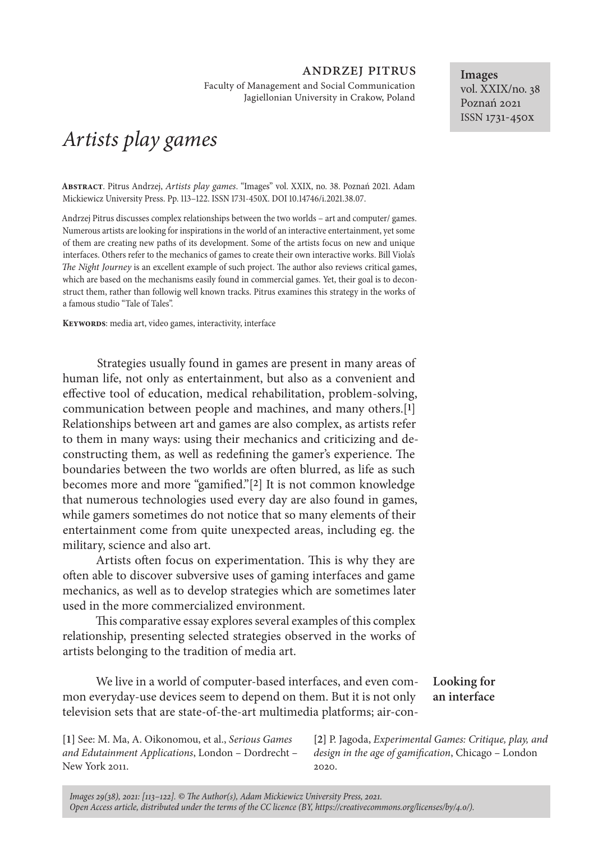## andrzej pitrus

Faculty of Management and Social Communication Jagiellonian University in Crakow, Poland

# *Artists play games*

**Abstract**. Pitrus Andrzej, *Artists play games*. "Images" vol. XXIX, no. 38. Poznań 2021. Adam Mickiewicz University Press. Pp. 113–122. ISSN 1731-450X. DOI 10.14746/i.2021.38.07.

Andrzej Pitrus discusses complex relationships between the two worlds – art and computer/ games. Numerous artists are looking for inspirations in the world of an interactive entertainment, yet some of them are creating new paths of its development. Some of the artists focus on new and unique interfaces. Others refer to the mechanics of games to create their own interactive works. Bill Viola's *The Night Journey* is an excellent example of such project. The author also reviews critical games, which are based on the mechanisms easily found in commercial games. Yet, their goal is to deconstruct them, rather than followig well known tracks. Pitrus examines this strategy in the works of a famous studio "Tale of Tales".

**Keywords**: media art, video games, interactivity, interface

Strategies usually found in games are present in many areas of human life, not only as entertainment, but also as a convenient and effective tool of education, medical rehabilitation, problem-solving, communication between people and machines, and many others.[**1**] Relationships between art and games are also complex, as artists refer to them in many ways: using their mechanics and criticizing and deconstructing them, as well as redefining the gamer's experience. The boundaries between the two worlds are often blurred, as life as such becomes more and more "gamified."[**2**] It is not common knowledge that numerous technologies used every day are also found in games, while gamers sometimes do not notice that so many elements of their entertainment come from quite unexpected areas, including eg. the military, science and also art.

Artists often focus on experimentation. This is why they are often able to discover subversive uses of gaming interfaces and game mechanics, as well as to develop strategies which are sometimes later used in the more commercialized environment.

This comparative essay explores several examples of this complex relationship, presenting selected strategies observed in the works of artists belonging to the tradition of media art.

We live in a world of computer-based interfaces, and even common everyday-use devices seem to depend on them. But it is not only television sets that are state-of-the-art multimedia platforms; air-con-**Looking for an interface**

**[1]** See: M. Ma, A. Oikonomou, et al., *Serious Games and Edutainment Applications*, London – Dordrecht – New York 2011.

**[2]** P. Jagoda, *Experimental Games: Critique, play, and design in the age of gamification*, Chicago – London 2020.

**Images** vol. XXIX/no. 38 Poznań 2021 ISSN 1731-450x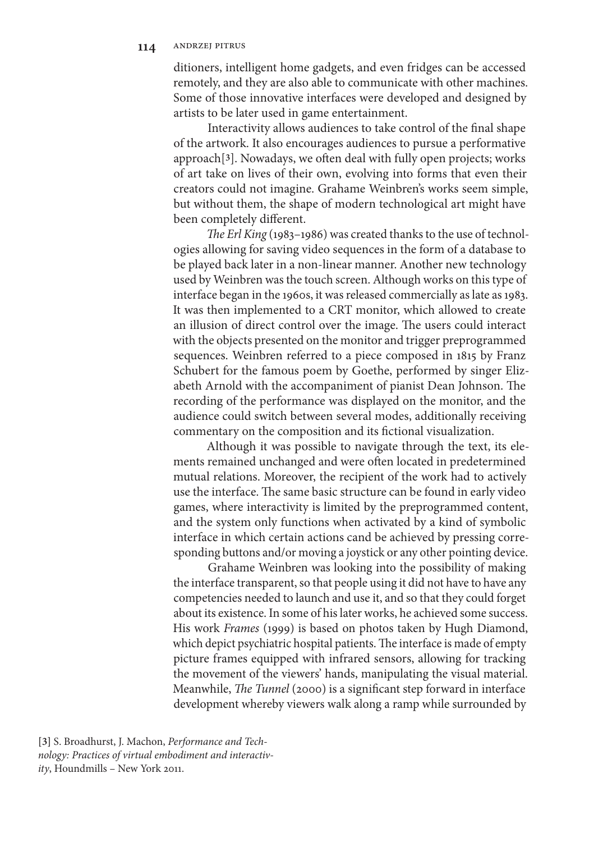ditioners, intelligent home gadgets, and even fridges can be accessed remotely, and they are also able to communicate with other machines. Some of those innovative interfaces were developed and designed by artists to be later used in game entertainment.

Interactivity allows audiences to take control of the final shape of the artwork. It also encourages audiences to pursue a performative approach[**3**]. Nowadays, we often deal with fully open projects; works of art take on lives of their own, evolving into forms that even their creators could not imagine. Grahame Weinbren's works seem simple, but without them, the shape of modern technological art might have been completely different.

*The Erl King* (1983–1986) was created thanks to the use of technologies allowing for saving video sequences in the form of a database to be played back later in a non-linear manner. Another new technology used by Weinbren was the touch screen. Although works on this type of interface began in the 1960s, it was released commercially as late as 1983. It was then implemented to a CRT monitor, which allowed to create an illusion of direct control over the image. The users could interact with the objects presented on the monitor and trigger preprogrammed sequences. Weinbren referred to a piece composed in 1815 by Franz Schubert for the famous poem by Goethe, performed by singer Elizabeth Arnold with the accompaniment of pianist Dean Johnson. The recording of the performance was displayed on the monitor, and the audience could switch between several modes, additionally receiving commentary on the composition and its fictional visualization.

Although it was possible to navigate through the text, its elements remained unchanged and were often located in predetermined mutual relations. Moreover, the recipient of the work had to actively use the interface. The same basic structure can be found in early video games, where interactivity is limited by the preprogrammed content, and the system only functions when activated by a kind of symbolic interface in which certain actions cand be achieved by pressing corresponding buttons and/or moving a joystick or any other pointing device.

Grahame Weinbren was looking into the possibility of making the interface transparent, so that people using it did not have to have any competencies needed to launch and use it, and so that they could forget about its existence. In some of his later works, he achieved some success. His work *Frames* (1999) is based on photos taken by Hugh Diamond, which depict psychiatric hospital patients. The interface is made of empty picture frames equipped with infrared sensors, allowing for tracking the movement of the viewers' hands, manipulating the visual material. Meanwhile, *The Tunnel* (2000) is a significant step forward in interface development whereby viewers walk along a ramp while surrounded by

**[3]** S. Broadhurst, J. Machon, *Performance and Technology: Practices of virtual embodiment and interactivity*, Houndmills – New York 2011.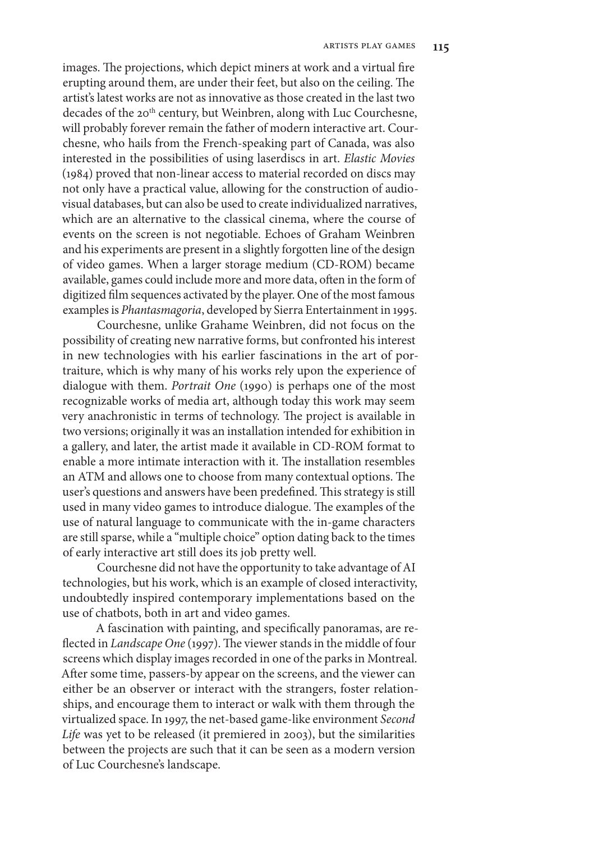images. The projections, which depict miners at work and a virtual fire erupting around them, are under their feet, but also on the ceiling. The artist's latest works are not as innovative as those created in the last two decades of the 20<sup>th</sup> century, but Weinbren, along with Luc Courchesne, will probably forever remain the father of modern interactive art. Courchesne, who hails from the French-speaking part of Canada, was also interested in the possibilities of using laserdiscs in art. *Elastic Movies*  (1984) proved that non-linear access to material recorded on discs may not only have a practical value, allowing for the construction of audiovisual databases, but can also be used to create individualized narratives, which are an alternative to the classical cinema, where the course of events on the screen is not negotiable. Echoes of Graham Weinbren and his experiments are present in a slightly forgotten line of the design of video games. When a larger storage medium (CD-ROM) became available, games could include more and more data, often in the form of digitized film sequences activated by the player. One of the most famous examples is *Phantasmagoria*, developed by Sierra Entertainment in 1995.

Courchesne, unlike Grahame Weinbren, did not focus on the possibility of creating new narrative forms, but confronted his interest in new technologies with his earlier fascinations in the art of portraiture, which is why many of his works rely upon the experience of dialogue with them. *Portrait One* (1990) is perhaps one of the most recognizable works of media art, although today this work may seem very anachronistic in terms of technology. The project is available in two versions; originally it was an installation intended for exhibition in a gallery, and later, the artist made it available in CD-ROM format to enable a more intimate interaction with it. The installation resembles an ATM and allows one to choose from many contextual options. The user's questions and answers have been predefined. This strategy is still used in many video games to introduce dialogue. The examples of the use of natural language to communicate with the in-game characters are still sparse, while a "multiple choice" option dating back to the times of early interactive art still does its job pretty well.

Courchesne did not have the opportunity to take advantage of AI technologies, but his work, which is an example of closed interactivity, undoubtedly inspired contemporary implementations based on the use of chatbots, both in art and video games.

A fascination with painting, and specifically panoramas, are reflected in *Landscape One* (1997). The viewer stands in the middle of four screens which display images recorded in one of the parks in Montreal. After some time, passers-by appear on the screens, and the viewer can either be an observer or interact with the strangers, foster relationships, and encourage them to interact or walk with them through the virtualized space. In 1997, the net-based game-like environment *Second Life* was yet to be released (it premiered in 2003), but the similarities between the projects are such that it can be seen as a modern version of Luc Courchesne's landscape.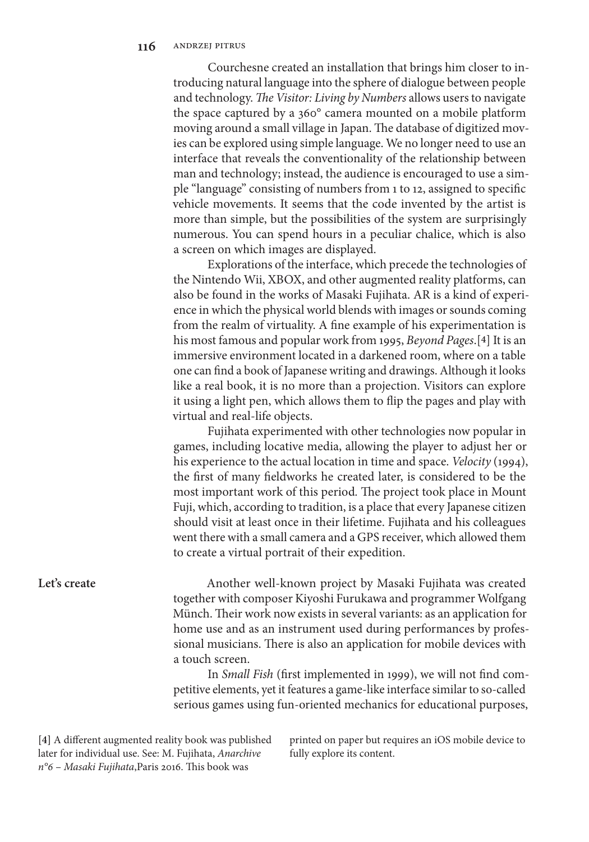Courchesne created an installation that brings him closer to introducing natural language into the sphere of dialogue between people and technology. *The Visitor: Living by Numbers* allows users to navigate the space captured by a 360° camera mounted on a mobile platform moving around a small village in Japan. The database of digitized movies can be explored using simple language. We no longer need to use an interface that reveals the conventionality of the relationship between man and technology; instead, the audience is encouraged to use a simple "language" consisting of numbers from 1 to 12, assigned to specific vehicle movements. It seems that the code invented by the artist is more than simple, but the possibilities of the system are surprisingly numerous. You can spend hours in a peculiar chalice, which is also a screen on which images are displayed.

Explorations of the interface, which precede the technologies of the Nintendo Wii, XBOX, and other augmented reality platforms, can also be found in the works of Masaki Fujihata. AR is a kind of experience in which the physical world blends with images or sounds coming from the realm of virtuality. A fine example of his experimentation is his most famous and popular work from 1995, *Beyond Pages*.[**4**] It is an immersive environment located in a darkened room, where on a table one can find a book of Japanese writing and drawings. Although it looks like a real book, it is no more than a projection. Visitors can explore it using a light pen, which allows them to flip the pages and play with virtual and real-life objects.

Fujihata experimented with other technologies now popular in games, including locative media, allowing the player to adjust her or his experience to the actual location in time and space. *Velocity* (1994), the first of many fieldworks he created later, is considered to be the most important work of this period*.* The project took place in Mount Fuji, which, according to tradition, is a place that every Japanese citizen should visit at least once in their lifetime. Fujihata and his colleagues went there with a small camera and a GPS receiver, which allowed them to create a virtual portrait of their expedition.

### **Let's create**

Another well-known project by Masaki Fujihata was created together with composer Kiyoshi Furukawa and programmer Wolfgang Münch. Their work now exists in several variants: as an application for home use and as an instrument used during performances by professional musicians. There is also an application for mobile devices with a touch screen.

In *Small Fish* (first implemented in 1999), we will not find competitive elements, yet it features a game-like interface similar to so-called serious games using fun-oriented mechanics for educational purposes,

**[4]** A different augmented reality book was published later for individual use. See: M. Fujihata, *Anarchive n°6* – *Masaki Fujihata*,Paris 2016. This book was

printed on paper but requires an iOS mobile device to fully explore its content.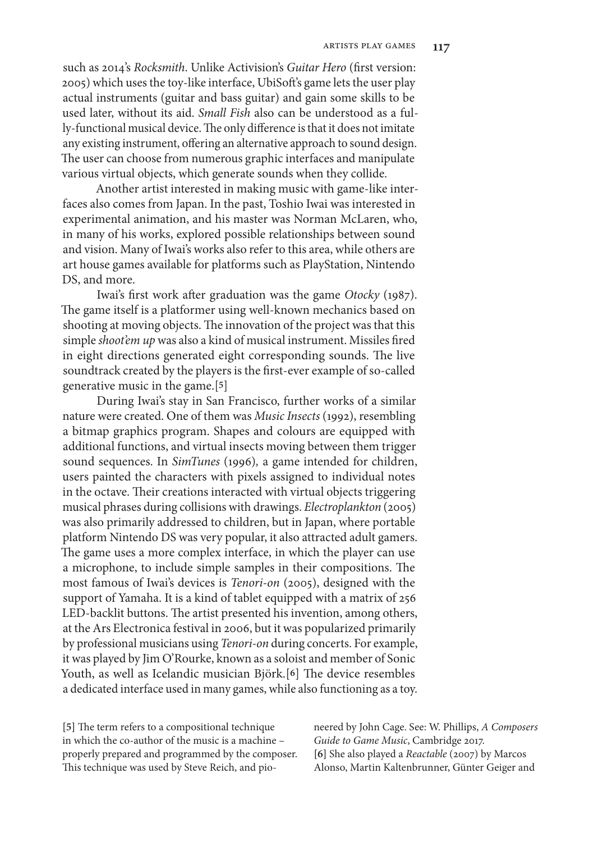such as 2014's *Rocksmith*. Unlike Activision's *Guitar Hero* (first version: 2005) which uses the toy-like interface, UbiSoft's game lets the user play actual instruments (guitar and bass guitar) and gain some skills to be used later, without its aid. *Small Fish* also can be understood as a fully-functional musical device. The only difference is that it does not imitate any existing instrument, offering an alternative approach to sound design. The user can choose from numerous graphic interfaces and manipulate various virtual objects, which generate sounds when they collide.

Another artist interested in making music with game-like interfaces also comes from Japan. In the past, Toshio Iwai was interested in experimental animation, and his master was Norman McLaren, who, in many of his works, explored possible relationships between sound and vision. Many of Iwai's works also refer to this area, while others are art house games available for platforms such as PlayStation, Nintendo DS, and more.

Iwai's first work after graduation was the game *Otocky* (1987). The game itself is a platformer using well-known mechanics based on shooting at moving objects. The innovation of the project was that this simple *shoot'em up* was also a kind of musical instrument. Missiles fired in eight directions generated eight corresponding sounds. The live soundtrack created by the players is the first-ever example of so-called generative music in the game.[**5**]

During Iwai's stay in San Francisco, further works of a similar nature were created. One of them was *Music Insects* (1992), resembling a bitmap graphics program. Shapes and colours are equipped with additional functions, and virtual insects moving between them trigger sound sequences. In *SimTunes* (1996)*,* a game intended for children, users painted the characters with pixels assigned to individual notes in the octave. Their creations interacted with virtual objects triggering musical phrases during collisions with drawings. *Electroplankton* (2005) was also primarily addressed to children, but in Japan, where portable platform Nintendo DS was very popular, it also attracted adult gamers. The game uses a more complex interface, in which the player can use a microphone, to include simple samples in their compositions. The most famous of Iwai's devices is *Tenori-on* (2005), designed with the support of Yamaha. It is a kind of tablet equipped with a matrix of 256 LED-backlit buttons. The artist presented his invention, among others, at the Ars Electronica festival in 2006, but it was popularized primarily by professional musicians using *Tenori-on* during concerts. For example, it was played by Jim O'Rourke, known as a soloist and member of Sonic Youth, as well as Icelandic musician Björk.[**6**] The device resembles a dedicated interface used in many games, while also functioning as a toy.

**[5]** The term refers to a compositional technique in which the co-author of the music is a machine – properly prepared and programmed by the composer. This technique was used by Steve Reich, and pioneered by John Cage. See: W. Phillips, *A Composers Guide to Game Music*, Cambridge 2017. **[6]** She also played a *Reactable* (2007) by Marcos Alonso, Martin Kaltenbrunner, Günter Geiger and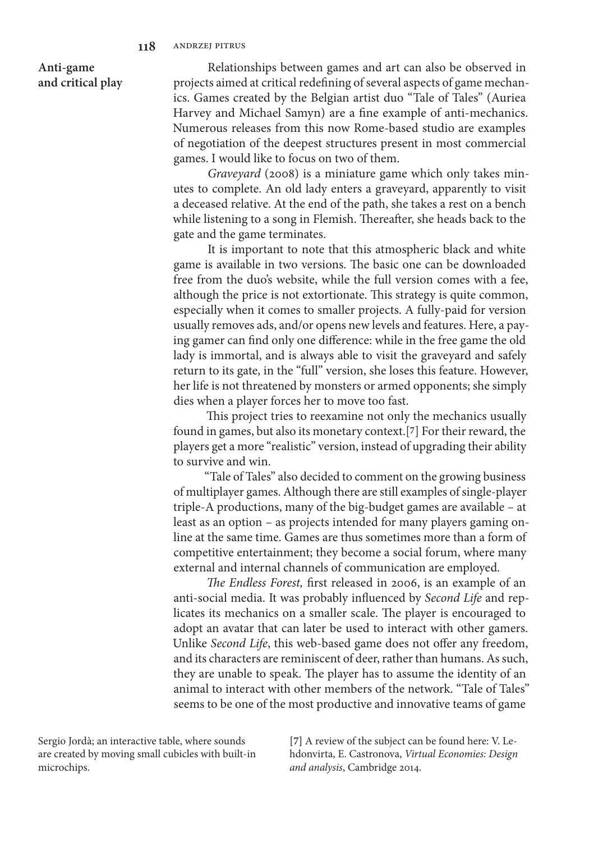**Anti-game and critical play**

Relationships between games and art can also be observed in projects aimed at critical redefining of several aspects of game mechanics. Games created by the Belgian artist duo "Tale of Tales" (Auriea Harvey and Michael Samyn) are a fine example of anti-mechanics. Numerous releases from this now Rome-based studio are examples of negotiation of the deepest structures present in most commercial games. I would like to focus on two of them.

*Graveyard* (2008) is a miniature game which only takes minutes to complete. An old lady enters a graveyard, apparently to visit a deceased relative. At the end of the path, she takes a rest on a bench while listening to a song in Flemish. Thereafter, she heads back to the gate and the game terminates.

It is important to note that this atmospheric black and white game is available in two versions. The basic one can be downloaded free from the duo's website, while the full version comes with a fee, although the price is not extortionate. This strategy is quite common, especially when it comes to smaller projects. A fully-paid for version usually removes ads, and/or opens new levels and features. Here, a paying gamer can find only one difference: while in the free game the old lady is immortal, and is always able to visit the graveyard and safely return to its gate, in the "full" version, she loses this feature. However, her life is not threatened by monsters or armed opponents; she simply dies when a player forces her to move too fast.

This project tries to reexamine not only the mechanics usually found in games, but also its monetary context.[**7**] For their reward, the players get a more "realistic" version, instead of upgrading their ability to survive and win.

"Tale of Tales" also decided to comment on the growing business of multiplayer games. Although there are still examples of single-player triple-A productions, many of the big-budget games are available – at least as an option – as projects intended for many players gaming online at the same time. Games are thus sometimes more than a form of competitive entertainment; they become a social forum, where many external and internal channels of communication are employed.

*The Endless Forest,* first released in 2006, is an example of an anti-social media. It was probably influenced by *Second Life* and replicates its mechanics on a smaller scale. The player is encouraged to adopt an avatar that can later be used to interact with other gamers. Unlike *Second Life*, this web-based game does not offer any freedom, and its characters are reminiscent of deer, rather than humans. As such, they are unable to speak. The player has to assume the identity of an animal to interact with other members of the network. "Tale of Tales" seems to be one of the most productive and innovative teams of game

Sergio Jordà; an interactive table, where sounds are created by moving small cubicles with built-in microchips.

**[7]** A review of the subject can be found here: V. Lehdonvirta, E. Castronova, *Virtual Economies: Design and analysis*, Cambridge 2014.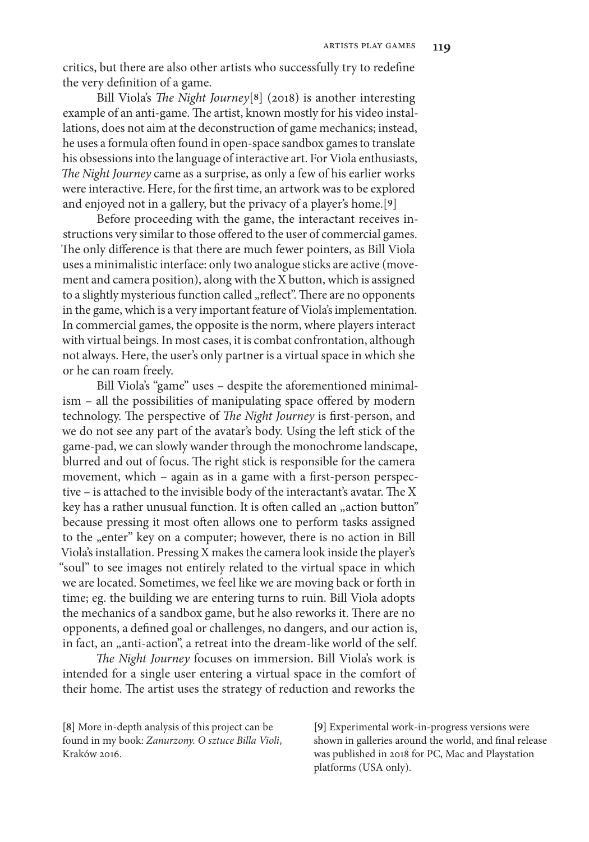critics, but there are also other artists who successfully try to redefine the very definition of a game.

Bill Viola's *The Night Journey*[**8**] (2018) is another interesting example of an anti-game. The artist, known mostly for his video installations, does not aim at the deconstruction of game mechanics; instead, he uses a formula often found in open-space sandbox games to translate his obsessions into the language of interactive art. For Viola enthusiasts, *The Night Journey* came as a surprise, as only a few of his earlier works were interactive. Here, for the first time, an artwork was to be explored and enjoyed not in a gallery, but the privacy of a player's home.[**9**]

Before proceeding with the game, the interactant receives instructions very similar to those offered to the user of commercial games. The only difference is that there are much fewer pointers, as Bill Viola uses a minimalistic interface: only two analogue sticks are active (movement and camera position), along with the X button, which is assigned to a slightly mysterious function called "reflect". There are no opponents in the game, which is a very important feature of Viola's implementation. In commercial games, the opposite is the norm, where players interact with virtual beings. In most cases, it is combat confrontation, although not always. Here, the user's only partner is a virtual space in which she or he can roam freely.

Bill Viola's "game" uses – despite the aforementioned minimalism – all the possibilities of manipulating space offered by modern technology. The perspective of *The Night Journey* is first-person, and we do not see any part of the avatar's body. Using the left stick of the game-pad, we can slowly wander through the monochrome landscape, blurred and out of focus. The right stick is responsible for the camera movement, which – again as in a game with a first-person perspective – is attached to the invisible body of the interactant's avatar. The X key has a rather unusual function. It is often called an "action button" because pressing it most often allows one to perform tasks assigned to the "enter" key on a computer; however, there is no action in Bill Viola's installation. Pressing X makes the camera look inside the player's "soul" to see images not entirely related to the virtual space in which we are located. Sometimes, we feel like we are moving back or forth in time; eg. the building we are entering turns to ruin. Bill Viola adopts the mechanics of a sandbox game, but he also reworks it. There are no opponents, a defined goal or challenges, no dangers, and our action is, in fact, an "anti-action", a retreat into the dream-like world of the self.

*The Night Journey* focuses on immersion. Bill Viola's work is intended for a single user entering a virtual space in the comfort of their home. The artist uses the strategy of reduction and reworks the

**[9]** Experimental work-in-progress versions were shown in galleries around the world, and final release was published in 2018 for PC, Mac and Playstation platforms (USA only).

**<sup>[8]</sup>** More in-depth analysis of this project can be found in my book: *Zanurzony. O sztuce Billa Violi*, Kraków 2016.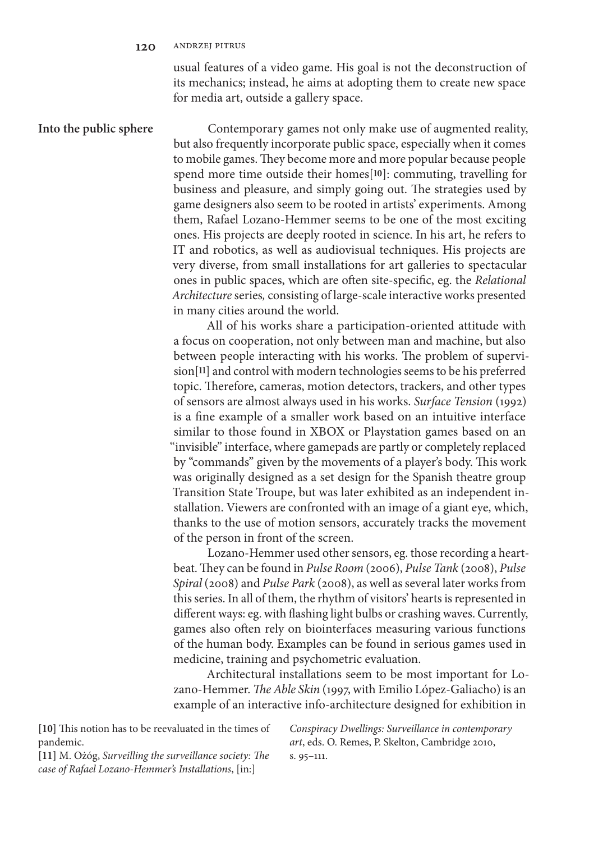#### **120** andrzej pitrus

usual features of a video game. His goal is not the deconstruction of its mechanics; instead, he aims at adopting them to create new space for media art, outside a gallery space.

Contemporary games not only make use of augmented reality, but also frequently incorporate public space, especially when it comes to mobile games. They become more and more popular because people spend more time outside their homes[**10**]: commuting, travelling for business and pleasure, and simply going out. The strategies used by game designers also seem to be rooted in artists' experiments. Among them, Rafael Lozano-Hemmer seems to be one of the most exciting ones. His projects are deeply rooted in science. In his art, he refers to IT and robotics, as well as audiovisual techniques. His projects are very diverse, from small installations for art galleries to spectacular ones in public spaces, which are often site-specific, eg. the *Relational Architecture* series*,* consisting of large-scale interactive works presented in many cities around the world. **Into the public sphere**

> All of his works share a participation-oriented attitude with a focus on cooperation, not only between man and machine, but also between people interacting with his works. The problem of supervision[**11**] and control with modern technologies seems to be his preferred topic. Therefore, cameras, motion detectors, trackers, and other types of sensors are almost always used in his works. *Surface Tension* (1992) is a fine example of a smaller work based on an intuitive interface similar to those found in XBOX or Playstation games based on an "invisible" interface, where gamepads are partly or completely replaced by "commands" given by the movements of a player's body. This work was originally designed as a set design for the Spanish theatre group Transition State Troupe, but was later exhibited as an independent installation. Viewers are confronted with an image of a giant eye, which, thanks to the use of motion sensors, accurately tracks the movement of the person in front of the screen.

> Lozano-Hemmer used other sensors, eg. those recording a heartbeat. They can be found in *Pulse Room* (2006), *Pulse Tank* (2008), *Pulse Spiral* (2008) and *Pulse Park* (2008), as well as several later works from this series. In all of them, the rhythm of visitors' hearts is represented in different ways: eg. with flashing light bulbs or crashing waves. Currently, games also often rely on biointerfaces measuring various functions of the human body. Examples can be found in serious games used in medicine, training and psychometric evaluation.

> Architectural installations seem to be most important for Lozano-Hemmer. *The Able Skin* (1997, with Emilio López-Galiacho) is an example of an interactive info-architecture designed for exhibition in

**[10]** This notion has to be reevaluated in the times of pandemic.

**[11]** M. Ożóg, *Surveilling the surveillance society: The case of Rafael Lozano-Hemmer's Installations*, [in:]

*Conspiracy Dwellings: Surveillance in contemporary art*, eds. O. Remes, P. Skelton, Cambridge 2010, s. 95–111.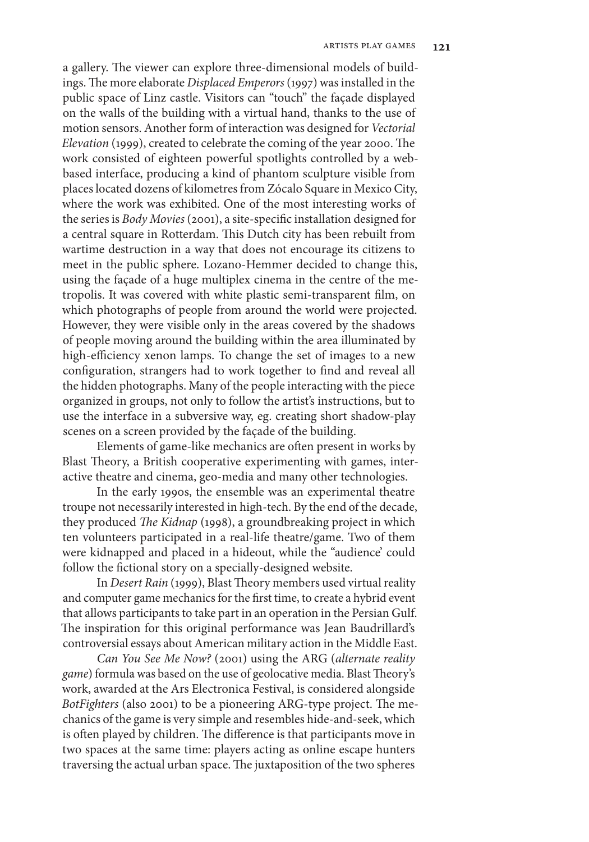a gallery. The viewer can explore three-dimensional models of buildings. The more elaborate *Displaced Emperors* (1997) was installed in the public space of Linz castle. Visitors can "touch" the façade displayed on the walls of the building with a virtual hand, thanks to the use of motion sensors. Another form of interaction was designed for *Vectorial Elevation* (1999), created to celebrate the coming of the year 2000. The work consisted of eighteen powerful spotlights controlled by a webbased interface, producing a kind of phantom sculpture visible from places located dozens of kilometres from Zócalo Square in Mexico City, where the work was exhibited. One of the most interesting works of the series is *Body Movies* (2001), a site-specific installation designed for a central square in Rotterdam. This Dutch city has been rebuilt from wartime destruction in a way that does not encourage its citizens to meet in the public sphere. Lozano-Hemmer decided to change this, using the façade of a huge multiplex cinema in the centre of the metropolis. It was covered with white plastic semi-transparent film, on which photographs of people from around the world were projected. However, they were visible only in the areas covered by the shadows of people moving around the building within the area illuminated by high-efficiency xenon lamps. To change the set of images to a new configuration, strangers had to work together to find and reveal all the hidden photographs. Many of the people interacting with the piece organized in groups, not only to follow the artist's instructions, but to use the interface in a subversive way, eg. creating short shadow-play scenes on a screen provided by the façade of the building.

Elements of game-like mechanics are often present in works by Blast Theory, a British cooperative experimenting with games, interactive theatre and cinema, geo-media and many other technologies.

In the early 1990s, the ensemble was an experimental theatre troupe not necessarily interested in high-tech. By the end of the decade, they produced *The Kidnap* (1998), a groundbreaking project in which ten volunteers participated in a real-life theatre/game. Two of them were kidnapped and placed in a hideout, while the "audience' could follow the fictional story on a specially-designed website.

In *Desert Rain* (1999), Blast Theory members used virtual reality and computer game mechanics for the first time, to create a hybrid event that allows participants to take part in an operation in the Persian Gulf. The inspiration for this original performance was Jean Baudrillard's controversial essays about American military action in the Middle East.

*Can You See Me Now?* (2001) using the ARG (*alternate reality game*) formula was based on the use of geolocative media. Blast Theory's work, awarded at the Ars Electronica Festival, is considered alongside *BotFighters* (also 2001) to be a pioneering ARG-type project. The mechanics of the game is very simple and resembles hide-and-seek, which is often played by children. The difference is that participants move in two spaces at the same time: players acting as online escape hunters traversing the actual urban space. The juxtaposition of the two spheres